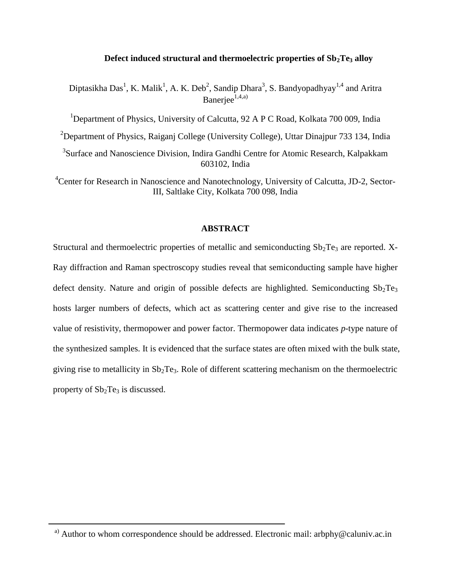# **Defect induced structural and thermoelectric properties of Sb2Te<sup>3</sup> alloy**

Diptasikha Das<sup>1</sup>, K. Malik<sup>1</sup>, A. K. Deb<sup>2</sup>, Sandip Dhara<sup>3</sup>, S. Bandyopadhyay<sup>1,4</sup> and Aritra Baneriee $1,4,4$ 

<sup>1</sup>Department of Physics, University of Calcutta, 92 A P C Road, Kolkata 700 009, India

<sup>2</sup>Department of Physics, Raiganj College (University College), Uttar Dinajpur 733 134, India

<sup>3</sup>Surface and Nanoscience Division, Indira Gandhi Centre for Atomic Research, Kalpakkam 603102, India

<sup>4</sup>Center for Research in Nanoscience and Nanotechnology, University of Calcutta, JD-2, Sector-III, Saltlake City, Kolkata 700 098, India

# **ABSTRACT**

Structural and thermoelectric properties of metallic and semiconducting  $Sb_2Te_3$  are reported. X-Ray diffraction and Raman spectroscopy studies reveal that semiconducting sample have higher defect density. Nature and origin of possible defects are highlighted. Semiconducting  $Sb_2Te_3$ hosts larger numbers of defects, which act as scattering center and give rise to the increased value of resistivity, thermopower and power factor. Thermopower data indicates *p*-type nature of the synthesized samples. It is evidenced that the surface states are often mixed with the bulk state, giving rise to metallicity in  $Sb_2Te_3$ . Role of different scattering mechanism on the thermoelectric property of  $Sb<sub>2</sub>Te<sub>3</sub>$  is discussed.

<sup>&</sup>lt;sup>a)</sup> Author to whom correspondence should be addressed. Electronic mail: arbphy@caluniv.ac.in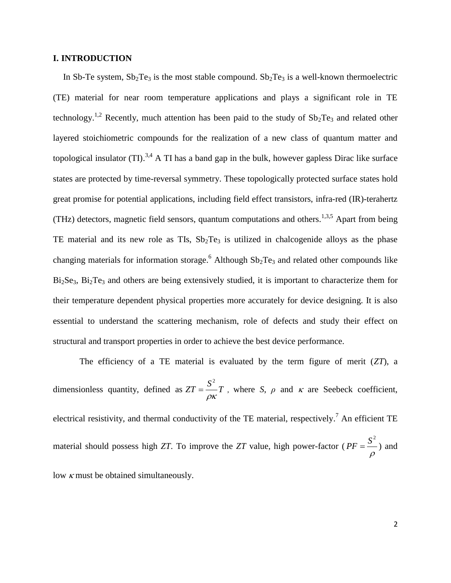# **I. INTRODUCTION**

In Sb-Te system,  $Sb_2Te_3$  is the most stable compound.  $Sb_2Te_3$  is a well-known thermoelectric (TE) material for near room temperature applications and plays a significant role in TE technology.<sup>1,2</sup> Recently, much attention has been paid to the study of  $Sb_2Te_3$  and related other layered stoichiometric compounds for the realization of a new class of quantum matter and topological insulator (TI).<sup>3,4</sup> A TI has a band gap in the bulk, however gapless Dirac like surface states are protected by time-reversal symmetry. These topologically protected surface states hold great promise for potential applications, including field effect transistors, infra-red (IR)-terahertz (THz) detectors, magnetic field sensors, quantum computations and others.<sup>1,3,5</sup> Apart from being TE material and its new role as TIs,  $Sb<sub>2</sub>Te<sub>3</sub>$  is utilized in chalcogenide alloys as the phase changing materials for information storage.<sup>6</sup> Although  $Sb_2Te_3$  and related other compounds like  $Bi<sub>2</sub>Se<sub>3</sub>$ ,  $Bi<sub>2</sub>Te<sub>3</sub>$  and others are being extensively studied, it is important to characterize them for their temperature dependent physical properties more accurately for device designing. It is also essential to understand the scattering mechanism, role of defects and study their effect on structural and transport properties in order to achieve the best device performance.

The efficiency of a TE material is evaluated by the term figure of merit (*ZT*), a dimensionless quantity, defined as  $ZT = \frac{S^2}{T}$  $\rho\kappa$  $=\frac{b}{r}T$ , where *S*,  $\rho$  and  $\kappa$  are Seebeck coefficient, electrical resistivity, and thermal conductivity of the TE material, respectively.<sup>7</sup> An efficient TE material should possess high *ZT*. To improve the *ZT* value, high power-factor (  $PF = \frac{S^2}{S}$  $\rho$  $=\frac{5}{2}$ ) and low  $\kappa$  must be obtained simultaneously.

2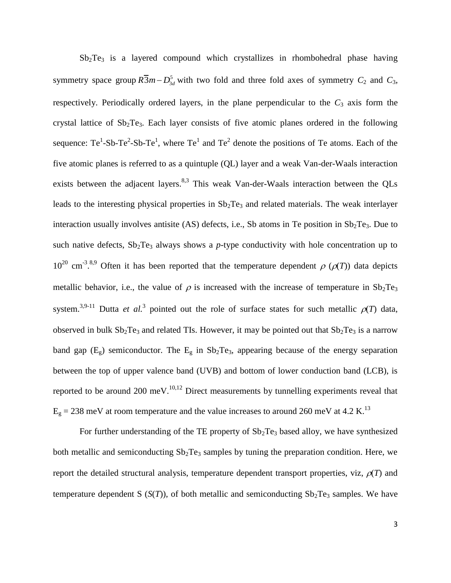$Sb<sub>2</sub>Te<sub>3</sub>$  is a layered compound which crystallizes in rhombohedral phase having symmetry space group  $R\overline{3}m - D_{3d}^5$  with two fold and three fold axes of symmetry  $C_2$  and  $C_3$ , respectively. Periodically ordered layers, in the plane perpendicular to the  $C_3$  axis form the crystal lattice of  $Sb_2Te_3$ . Each layer consists of five atomic planes ordered in the following sequence: Te<sup>1</sup>-Sb-Te<sup>2</sup>-Sb-Te<sup>1</sup>, where Te<sup>1</sup> and Te<sup>2</sup> denote the positions of Te atoms. Each of the five atomic planes is referred to as a quintuple (QL) layer and a weak Van-der-Waals interaction exists between the adjacent layers.<sup>8,3</sup> This weak Van-der-Waals interaction between the QLs leads to the interesting physical properties in  $Sb<sub>2</sub>Te<sub>3</sub>$  and related materials. The weak interlayer interaction usually involves antisite (AS) defects, i.e., Sb atoms in Te position in  $Sb_2Te_3$ . Due to such native defects,  $Sb_2Te_3$  always shows a *p*-type conductivity with hole concentration up to  $10^{20}$  cm<sup>-3,8,9</sup> Often it has been reported that the temperature dependent  $\rho$  ( $\rho(T)$ ) data depicts metallic behavior, i.e., the value of  $\rho$  is increased with the increase of temperature in Sb<sub>2</sub>Te<sub>3</sub> system.<sup>3,9-11</sup> Dutta *et al.*<sup>3</sup> pointed out the role of surface states for such metallic  $\rho(T)$  data, observed in bulk  $Sb_2Te_3$  and related TIs. However, it may be pointed out that  $Sb_2Te_3$  is a narrow band gap  $(E_g)$  semiconductor. The  $E_g$  in  $Sb_2Te_3$ , appearing because of the energy separation between the top of upper valence band (UVB) and bottom of lower conduction band (LCB), is reported to be around 200 meV.<sup>10,12</sup> Direct measurements by tunnelling experiments reveal that  $E<sub>g</sub> = 238$  meV at room temperature and the value increases to around 260 meV at 4.2 K.<sup>13</sup>

For further understanding of the TE property of  $Sb<sub>2</sub>Te<sub>3</sub>$  based alloy, we have synthesized both metallic and semiconducting  $Sb<sub>2</sub>Te<sub>3</sub>$  samples by tuning the preparation condition. Here, we report the detailed structural analysis, temperature dependent transport properties, viz,  $\rho(T)$  and temperature dependent S  $(S(T))$ , of both metallic and semiconducting  $Sb_2Te_3$  samples. We have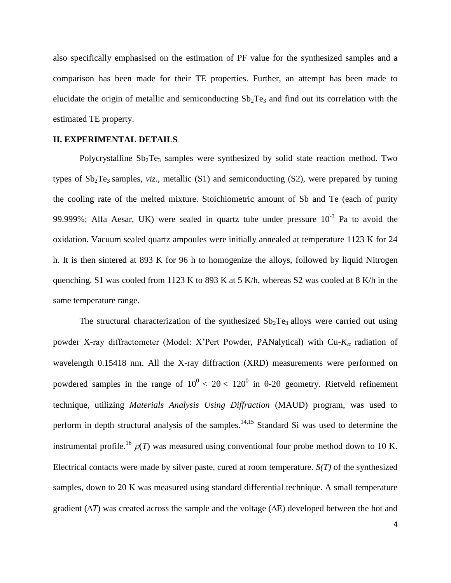also specifically emphasised on the estimation of PF value for the synthesized samples and a comparison has been made for their TE properties. Further, an attempt has been made to elucidate the origin of metallic and semiconducting  $Sb_2Te_3$  and find out its correlation with the estimated TE property.

## **II. EXPERIMENTAL DETAILS**

Polycrystalline  $Sb<sub>2</sub>Te<sub>3</sub>$  samples were synthesized by solid state reaction method. Two types of  $Sb_2Te_3$  samples, *viz.*, metallic  $(S1)$  and semiconducting  $(S2)$ , were prepared by tuning the cooling rate of the melted mixture. Stoichiometric amount of Sb and Te (each of purity 99.999%; Alfa Aesar, UK) were sealed in quartz tube under pressure  $10^{-3}$  Pa to avoid the oxidation. Vacuum sealed quartz ampoules were initially annealed at temperature 1123 K for 24 h. It is then sintered at 893 K for 96 h to homogenize the alloys, followed by liquid Nitrogen quenching. S1 was cooled from 1123 K to 893 K at 5 K/h, whereas S2 was cooled at 8 K/h in the same temperature range.

The structural characterization of the synthesized  $Sb<sub>2</sub>Te<sub>3</sub>$  alloys were carried out using powder X-ray diffractometer (Model: X'Pert Powder, PANalytical) with  $Cu$ - $K_{\alpha}$  radiation of wavelength 0.15418 nm. All the X-ray diffraction (XRD) measurements were performed on powdered samples in the range of  $10^0 \le 20 \le 120^0$  in 0-20 geometry. Rietveld refinement technique, utilizing *Materials Analysis Using Diffraction* (MAUD) program, was used to perform in depth structural analysis of the samples.<sup>14,15</sup> Standard Si was used to determine the instrumental profile.<sup>16</sup>  $\rho(T)$  was measured using conventional four probe method down to 10 K. Electrical contacts were made by silver paste, cured at room temperature. *S(T)* of the synthesized samples, down to 20 K was measured using standard differential technique. A small temperature gradient  $(\Delta T)$  was created across the sample and the voltage  $(\Delta E)$  developed between the hot and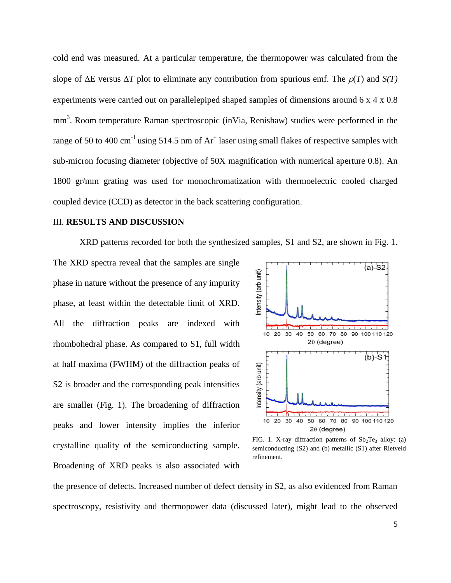cold end was measured. At a particular temperature, the thermopower was calculated from the slope of  $\Delta E$  versus  $\Delta T$  plot to eliminate any contribution from spurious emf. The  $\rho(T)$  and  $S(T)$ experiments were carried out on parallelepiped shaped samples of dimensions around 6 x 4 x 0.8 mm<sup>3</sup>. Room temperature Raman spectroscopic (inVia, Renishaw) studies were performed in the range of 50 to 400 cm<sup>-1</sup> using 514.5 nm of  $Ar^+$  laser using small flakes of respective samples with sub-micron focusing diameter (objective of 50X magnification with numerical aperture 0.8). An 1800 gr/mm grating was used for monochromatization with thermoelectric cooled charged coupled device (CCD) as detector in the back scattering configuration.

#### III. **RESULTS AND DISCUSSION**

XRD patterns recorded for both the synthesized samples, S1 and S2, are shown in Fig. 1.

The XRD spectra reveal that the samples are single phase in nature without the presence of any impurity phase, at least within the detectable limit of XRD. All the diffraction peaks are indexed with rhombohedral phase. As compared to S1, full width at half maxima (FWHM) of the diffraction peaks of S2 is broader and the corresponding peak intensities are smaller (Fig. 1). The broadening of diffraction peaks and lower intensity implies the inferior crystalline quality of the semiconducting sample. Broadening of XRD peaks is also associated with



FIG. 1. X-ray diffraction patterns of  $Sb_2Te_3$  alloy: (a) semiconducting (S2) and (b) metallic (S1) after Rietveld refinement.

the presence of defects. Increased number of defect density in S2, as also evidenced from Raman spectroscopy, resistivity and thermopower data (discussed later), might lead to the observed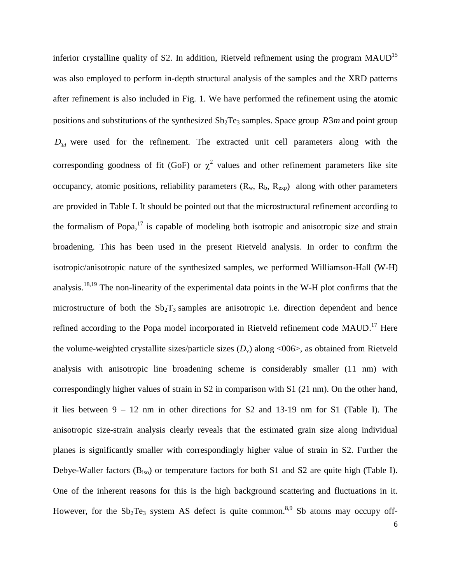inferior crystalline quality of S2. In addition, Rietveld refinement using the program  $MAUD<sup>15</sup>$ was also employed to perform in-depth structural analysis of the samples and the XRD patterns after refinement is also included in Fig. 1. We have performed the refinement using the atomic positions and substitutions of the synthesized  $Sb_2Te_3$  samples. Space group  $R\overline{3}m$  and point group  $D_{3d}$  were used for the refinement. The extracted unit cell parameters along with the corresponding goodness of fit (GoF) or  $\chi^2$  values and other refinement parameters like site occupancy, atomic positions, reliability parameters  $(R_w, R_b, R_{exp})$  along with other parameters are provided in Table I. It should be pointed out that the microstructural refinement according to the formalism of Popa, $17$  is capable of modeling both isotropic and anisotropic size and strain broadening. This has been used in the present Rietveld analysis. In order to confirm the isotropic/anisotropic nature of the synthesized samples, we performed Williamson-Hall (W-H) analysis.<sup>18,19</sup> The non-linearity of the experimental data points in the W-H plot confirms that the microstructure of both the  $Sb<sub>2</sub>T<sub>3</sub>$  samples are anisotropic i.e. direction dependent and hence refined according to the Popa model incorporated in Rietveld refinement code MAUD.<sup>17</sup> Here the volume-weighted crystallite sizes/particle sizes  $(D<sub>v</sub>)$  along  $\langle 0.06 \rangle$ , as obtained from Rietveld analysis with anisotropic line broadening scheme is considerably smaller (11 nm) with correspondingly higher values of strain in S2 in comparison with S1 (21 nm). On the other hand, it lies between 9 – 12 nm in other directions for S2 and 13-19 nm for S1 (Table I). The anisotropic size-strain analysis clearly reveals that the estimated grain size along individual planes is significantly smaller with correspondingly higher value of strain in S2. Further the Debye-Waller factors (B<sub>iso</sub>) or temperature factors for both S1 and S2 are quite high (Table I). One of the inherent reasons for this is the high background scattering and fluctuations in it. However, for the  $Sb_2Te_3$  system AS defect is quite common.<sup>8,9</sup> Sb atoms may occupy off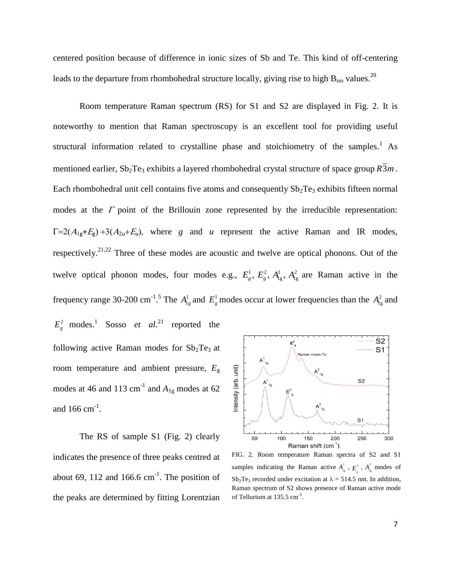centered position because of difference in ionic sizes of Sb and Te. This kind of off-centering leads to the departure from rhombohedral structure locally, giving rise to high  $B_{iso}$  values.<sup>20</sup>

Room temperature Raman spectrum (RS) for S1 and S2 are displayed in Fig. 2. It is noteworthy to mention that Raman spectroscopy is an excellent tool for providing useful structural information related to crystalline phase and stoichiometry of the samples.<sup>1</sup> As mentioned earlier,  $\text{Sb}_2 \text{Te}_3$  exhibits a layered rhombohedral crystal structure of space group  $R\overline{3}m$ . Each rhombohedral unit cell contains five atoms and consequently  $Sb<sub>2</sub>Te<sub>3</sub>$  exhibits fifteen normal modes at the  $\Gamma$  point of the Brillouin zone represented by the irreducible representation:  $\Gamma = 2(A_{1g} + E_g) + 3(A_{2u} + E_u)$ , where *g* and *u* represent the active Raman and IR modes, respectively.<sup>21,22</sup> Three of these modes are acoustic and twelve are optical phonons. Out of the twelve optical phonon modes, four modes e.g.,  $E_g^1$ ,  $E_g^2$ ,  $A_{1g}^1$ ,  $A_{1g}^2$  are Raman active in the frequency range 30-200 cm<sup>-1</sup>.<sup>5</sup> The  $A_{1g}^1$  and  $E_g^1$  modes occur at lower frequencies than the  $A_{1g}^2$  and  $E_g^2$  modes.<sup>1</sup> Sosso *et al*.<sup>21</sup> reported the

following active Raman modes for  $Sb<sub>2</sub>Te<sub>3</sub>$  at room temperature and ambient pressure, *E*<sup>g</sup> modes at 46 and 113  $\text{cm}^{-1}$  and  $A_{1g}$  modes at 62 and  $166 \text{ cm}^{-1}$ .

The RS of sample S1 (Fig. 2) clearly indicates the presence of three peaks centred at about 69, 112 and 166.6  $cm^{-1}$ . The position of the peaks are determined by fitting Lorentzian



FIG. 2. Room temperature Raman spectra of S2 and S1 samples indicating the Raman active  $A<sub>1</sub><sup>1</sup>$  $A_{_{\mathrm{lg}}}^{^{\mathrm{i}}}$  ,  $E_{_{\mathrm{e}}}^{^{2}}$  $E_{_{\mathrm{g}}}^{^{2}}$  ,  $A_{_{\mathrm{Ig}}}^{^{2}}$  $A_{1g}^2$  modes of  $Sb<sub>2</sub>Te<sub>3</sub>$  recorded under excitation at  $\lambda = 514.5$  nm. In addition, Raman spectrum of S2 shows presence of Raman active mode of Tellurium at  $135.5 \text{ cm}^{-1}$ .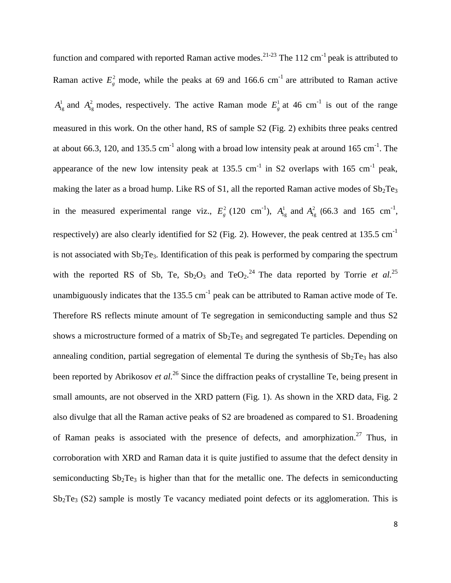function and compared with reported Raman active modes.<sup>21-23</sup> The 112 cm<sup>-1</sup> peak is attributed to Raman active  $E_g^2$  mode, while the peaks at 69 and 166.6 cm<sup>-1</sup> are attributed to Raman active  $A_{1g}^1$  and  $A_{1g}^2$  modes, respectively. The active Raman mode  $E_g^1$  at 46 cm<sup>-1</sup> is out of the range measured in this work. On the other hand, RS of sample S2 (Fig. 2) exhibits three peaks centred at about 66.3, 120, and 135.5 cm<sup>-1</sup> along with a broad low intensity peak at around 165 cm<sup>-1</sup>. The appearance of the new low intensity peak at 135.5 cm<sup>-1</sup> in S2 overlaps with 165 cm<sup>-1</sup> peak, making the later as a broad hump. Like RS of S1, all the reported Raman active modes of  $Sb_2Te_3$ in the measured experimental range viz.,  $E_g^2$  (120 cm<sup>-1</sup>),  $A_{1g}^1$  and  $A_{1g}^2$  (66.3 and 165 cm<sup>-1</sup>, respectively) are also clearly identified for S2 (Fig. 2). However, the peak centred at 135.5 cm<sup>-1</sup> is not associated with  $Sb<sub>2</sub>Te<sub>3</sub>$ . Identification of this peak is performed by comparing the spectrum with the reported RS of Sb, Te,  $Sb_2O_3$  and  $TeO_2$ .<sup>24</sup> The data reported by Torrie *et al.*<sup>25</sup> unambiguously indicates that the 135.5 cm<sup>-1</sup> peak can be attributed to Raman active mode of Te. Therefore RS reflects minute amount of Te segregation in semiconducting sample and thus S2 shows a microstructure formed of a matrix of  $Sb<sub>2</sub>Te<sub>3</sub>$  and segregated Te particles. Depending on annealing condition, partial segregation of elemental Te during the synthesis of  $Sb<sub>2</sub>Te<sub>3</sub>$  has also been reported by Abrikosov *et al.*<sup>26</sup> Since the diffraction peaks of crystalline Te, being present in small amounts, are not observed in the XRD pattern (Fig. 1). As shown in the XRD data, Fig. 2 also divulge that all the Raman active peaks of S2 are broadened as compared to S1. Broadening of Raman peaks is associated with the presence of defects, and amorphization.<sup>27</sup> Thus, in corroboration with XRD and Raman data it is quite justified to assume that the defect density in semiconducting  $Sb_2Te_3$  is higher than that for the metallic one. The defects in semiconducting  $Sb<sub>2</sub>Te<sub>3</sub>$  (S2) sample is mostly Te vacancy mediated point defects or its agglomeration. This is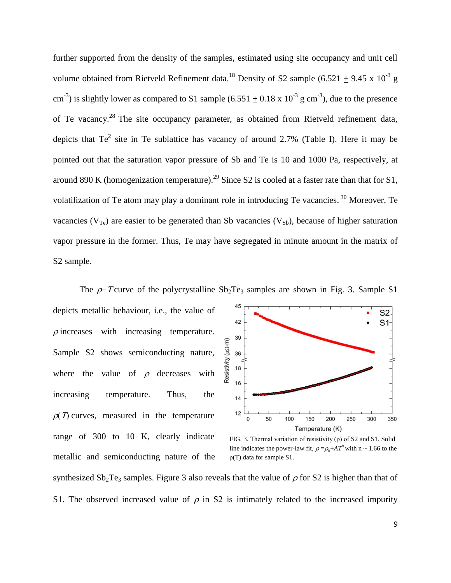further supported from the density of the samples, estimated using site occupancy and unit cell volume obtained from Rietveld Refinement data.<sup>18</sup> Density of S2 sample (6.521  $\pm$  9.45 x 10<sup>-3</sup> g cm<sup>-3</sup>) is slightly lower as compared to S1 sample  $(6.551 \pm 0.18 \times 10^{-3} \text{ g cm}^{-3})$ , due to the presence of Te vacancy.<sup>28</sup> The site occupancy parameter, as obtained from Rietveld refinement data, depicts that  $Te^2$  site in Te sublattice has vacancy of around 2.7% (Table I). Here it may be pointed out that the saturation vapor pressure of Sb and Te is 10 and 1000 Pa, respectively, at around 890 K (homogenization temperature).<sup>29</sup> Since S2 is cooled at a faster rate than that for S1, volatilization of Te atom may play a dominant role in introducing Te vacancies.<sup>30</sup> Moreover, Te vacancies ( $V_{Te}$ ) are easier to be generated than Sb vacancies ( $V_{Sb}$ ), because of higher saturation vapor pressure in the former. Thus, Te may have segregated in minute amount in the matrix of S2 sample.

The  $\rho$ -T curve of the polycrystalline Sb<sub>2</sub>Te<sub>3</sub> samples are shown in Fig. 3. Sample S1 45 depicts metallic behaviour, i.e., the value of 42  $\rho$  increases with increasing temperature. 39 Resistivity (µQ-m) Sample S2 shows semiconducting nature, 36 18 where the value of  $\rho$  decreases with 16 increasing temperature. Thus, the  $14$  $12$  $\rho(T)$  curves, measured in the temperature  $\mathbf 0$ range of 300 to 10 K, clearly indicate metallic and semiconducting nature of the



FIG. 3. Thermal variation of resistivity (ρ) of S2 and S1. Solid line indicates the power-law fit,  $\rho = \rho_0 + AT^n$  with n ~ 1.66 to the ρ(T) data for sample S1.

synthesized  $Sb_2Te_3$  samples. Figure 3 also reveals that the value of  $\rho$  for S2 is higher than that of S1. The observed increased value of  $\rho$  in S2 is intimately related to the increased impurity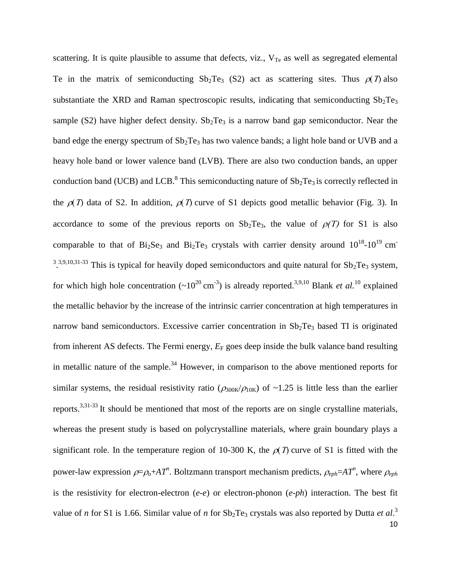10 scattering. It is quite plausible to assume that defects, viz.,  $V_{Te}$  as well as segregated elemental Te in the matrix of semiconducting  $Sb_2Te_3$  (S2) act as scattering sites. Thus  $\rho(T)$  also substantiate the XRD and Raman spectroscopic results, indicating that semiconducting  $Sb_2Te_3$ sample (S2) have higher defect density.  $Sb_2Te_3$  is a narrow band gap semiconductor. Near the band edge the energy spectrum of  $Sb<sub>2</sub>Te<sub>3</sub>$  has two valence bands; a light hole band or UVB and a heavy hole band or lower valence band (LVB). There are also two conduction bands, an upper conduction band (UCB) and LCB.<sup>8</sup> This semiconducting nature of  $Sb_2Te_3$  is correctly reflected in the  $\rho(T)$  data of S2. In addition,  $\rho(T)$  curve of S1 depicts good metallic behavior (Fig. 3). In accordance to some of the previous reports on  $Sb_2Te_3$ , the value of  $\rho(T)$  for S1 is also comparable to that of Bi<sub>2</sub>Se<sub>3</sub> and Bi<sub>2</sub>Te<sub>3</sub> crystals with carrier density around  $10^{18}$ - $10^{19}$  cm<sup>-</sup>  $3.3,9,10,31-33$  This is typical for heavily doped semiconductors and quite natural for  $Sb_2Te_3$  system, for which high hole concentration  $({\sim}10^{20} \text{ cm}^{-3})$  is already reported.<sup>3,9,10</sup> Blank *et al.*<sup>10</sup> explained the metallic behavior by the increase of the intrinsic carrier concentration at high temperatures in narrow band semiconductors. Excessive carrier concentration in  $Sb_2Te_3$  based TI is originated from inherent AS defects. The Fermi energy,  $E_F$  goes deep inside the bulk valance band resulting in metallic nature of the sample.<sup>34</sup> However, in comparison to the above mentioned reports for similar systems, the residual resistivity ratio ( $\rho_{300K}/\rho_{10K}$ ) of ~1.25 is little less than the earlier reports.<sup>3,31-33</sup> It should be mentioned that most of the reports are on single crystalline materials, whereas the present study is based on polycrystalline materials, where grain boundary plays a significant role. In the temperature region of 10-300 K, the  $\rho(T)$  curve of S1 is fitted with the power-law expression  $\rho = \rho_0 + AT^n$ . Boltzmann transport mechanism predicts,  $\rho_{eph} = AT^n$ , where  $\rho_{eph}$ is the resistivity for electron-electron (*e-e*) or electron-phonon (*e-ph*) interaction. The best fit value of *n* for S1 is 1.66. Similar value of *n* for  $Sb_2Te_3$  crystals was also reported by Dutta *et al.*<sup>3</sup>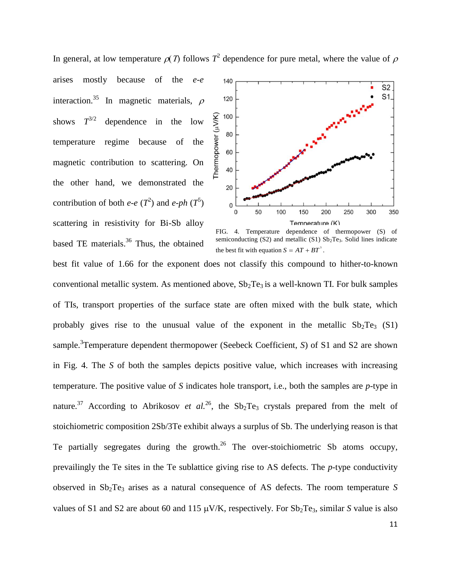In general, at low temperature  $\rho(T)$  follows  $T^2$  dependence for pure metal, where the value of  $\rho$ arises mostly because of the *e-e* 140 interaction.<sup>35</sup> In magnetic materials,  $\rho$ 120 Thermopower (µV/K) 100 shows  $T^{3/2}$ dependence in the low 80 temperature regime because of the 60 magnetic contribution to scattering. On 40 the other hand, we demonstrated the 20 contribution of both *e-e*  $(T^2)$  and *e-ph*  $(T^5)$  $\mathbf 0$  $\mathbf 0$ 50 100 scattering in resistivity for Bi-Sb alloy based TE materials.<sup>36</sup> Thus, the obtained



FIG. 4. Temperature dependence of thermopower (S) of semiconducting (S2) and metallic (S1)  $Sb<sub>2</sub>Te<sub>3</sub>$ . Solid lines indicate the best fit with equation  $S = AT + BT^3$ .

best fit value of 1.66 for the exponent does not classify this compound to hither-to-known conventional metallic system. As mentioned above,  $Sb<sub>2</sub>Te<sub>3</sub>$  is a well-known TI. For bulk samples of TIs, transport properties of the surface state are often mixed with the bulk state, which probably gives rise to the unusual value of the exponent in the metallic  $Sb_2Te_3$  (S1) sample. 3 Temperature dependent thermopower (Seebeck Coefficient, *S*) of S1 and S2 are shown in Fig. 4. The *S* of both the samples depicts positive value, which increases with increasing temperature. The positive value of *S* indicates hole transport, i.e., both the samples are *p*-type in nature.<sup>37</sup> According to Abrikosov *et al.*<sup>26</sup>, the Sb<sub>2</sub>Te<sub>3</sub> crystals prepared from the melt of stoichiometric composition 2Sb/3Te exhibit always a surplus of Sb. The underlying reason is that Te partially segregates during the growth. $^{26}$  The over-stoichiometric Sb atoms occupy, prevailingly the Te sites in the Te sublattice giving rise to AS defects. The *p*-type conductivity observed in Sb2Te<sup>3</sup> arises as a natural consequence of AS defects. The room temperature *S* values of S1 and S2 are about 60 and 115  $\mu$ V/K, respectively. For Sb<sub>2</sub>Te<sub>3</sub>, similar *S* value is also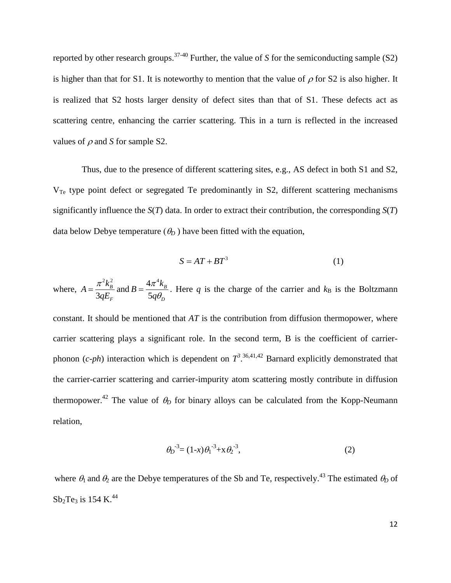reported by other research groups.<sup>37-40</sup> Further, the value of *S* for the semiconducting sample (S2) is higher than that for S1. It is noteworthy to mention that the value of  $\rho$  for S2 is also higher. It is realized that S2 hosts larger density of defect sites than that of S1. These defects act as scattering centre, enhancing the carrier scattering. This in a turn is reflected in the increased values of  $\rho$  and *S* for sample S2.

 Thus, due to the presence of different scattering sites, e.g., AS defect in both S1 and S2,  $V_{Te}$  type point defect or segregated Te predominantly in S2, different scattering mechanisms significantly influence the *S*(*T*) data. In order to extract their contribution, the corresponding *S*(*T*) data below Debye temperature  $(\theta_D)$  have been fitted with the equation,

$$
S = AT + BT^3 \tag{1}
$$

where,  $21.2$ 3 *B F*  $A = \frac{\pi^2 k}{2}$ *qE*  $=\frac{\pi k_B}{2\pi}$  and  $4\pi^4$ 5 *B D*  $B = \frac{4\pi^4 k}{I}$ *q*  $\pi$  $=\frac{4\pi k_B B}{5a\theta_B}$ . Here q is the charge of the carrier and  $k_B$  is the Boltzmann constant. It should be mentioned that *AT* is the contribution from diffusion thermopower, where carrier scattering plays a significant role. In the second term, B is the coefficient of carrierphonon  $(c-ph)$  interaction which is dependent on  $T^3$ .  $36,41,42$  Barnard explicitly demonstrated that the carrier-carrier scattering and carrier-impurity atom scattering mostly contribute in diffusion thermopower.<sup>42</sup> The value of  $\theta_D$  for binary alloys can be calculated from the Kopp-Neumann relation,

$$
\theta_D^{-3} = (1-x)\theta_1^{-3} + x\theta_2^{-3},\tag{2}
$$

where  $\theta_1$  and  $\theta_2$  are the Debye temperatures of the Sb and Te, respectively.<sup>43</sup> The estimated  $\theta_D$  of  $\mathrm{Sb}_2\mathrm{Te}_3$  is 154 K.<sup>44</sup>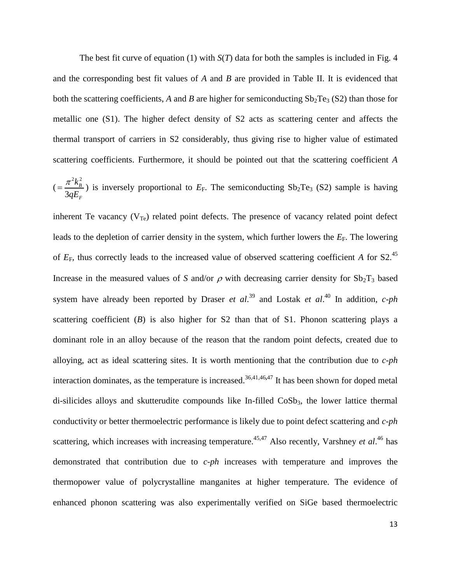The best fit curve of equation (1) with *S*(*T*) data for both the samples is included in Fig. 4 and the corresponding best fit values of *A* and *B* are provided in Table II. It is evidenced that both the scattering coefficients, A and B are higher for semiconducting  $Sb_2Te_3(S_2)$  than those for metallic one (S1). The higher defect density of S2 acts as scattering center and affects the thermal transport of carriers in S2 considerably, thus giving rise to higher value of estimated scattering coefficients. Furthermore, it should be pointed out that the scattering coefficient *A*

$$
(\frac{\pi^2 k_B^2}{3qE_F})
$$
 is inversely proportional to  $E_F$ . The semiconducting Sb<sub>2</sub>Te<sub>3</sub> (S2) sample is having

inherent Te vacancy  $(V_{Te})$  related point defects. The presence of vacancy related point defect leads to the depletion of carrier density in the system, which further lowers the  $E_F$ . The lowering of  $E_F$ , thus correctly leads to the increased value of observed scattering coefficient *A* for S2.<sup>45</sup> Increase in the measured values of *S* and/or  $\rho$  with decreasing carrier density for  $Sb_2T_3$  based system have already been reported by Draser *et al*. 39 and Lostak *et al*. <sup>40</sup> In addition, *c-ph* scattering coefficient (*B*) is also higher for S2 than that of S1. Phonon scattering plays a dominant role in an alloy because of the reason that the random point defects, created due to alloying, act as ideal scattering sites. It is worth mentioning that the contribution due to *c-ph* interaction dominates, as the temperature is increased. 36,41,46**,**47 It has been shown for doped metal di-silicides alloys and skutterudite compounds like In-filled CoSb<sub>3</sub>, the lower lattice thermal conductivity or better thermoelectric performance is likely due to point defect scattering and *c*-*ph* scattering, which increases with increasing temperature.<sup>45,47</sup> Also recently, Varshney *et al.*<sup>46</sup> has demonstrated that contribution due to *c-ph* increases with temperature and improves the thermopower value of polycrystalline manganites at higher temperature. The evidence of enhanced phonon scattering was also experimentally verified on SiGe based thermoelectric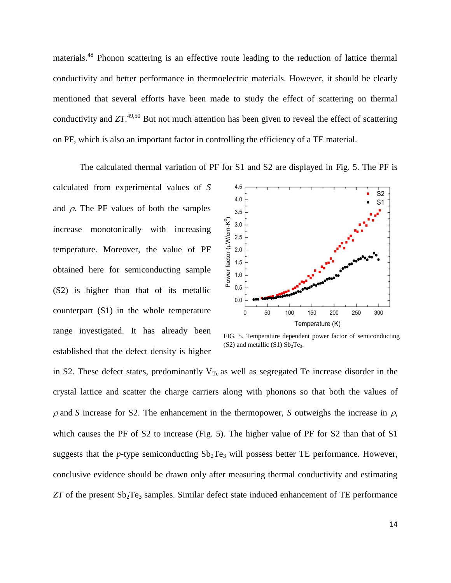materials.<sup>48</sup> Phonon scattering is an effective route leading to the reduction of lattice thermal conductivity and better performance in thermoelectric materials. However, it should be clearly mentioned that several efforts have been made to study the effect of scattering on thermal conductivity and *ZT*. 49,50 But not much attention has been given to reveal the effect of scattering on PF, which is also an important factor in controlling the efficiency of a TE material.

The calculated thermal variation of PF for S1 and S2 are displayed in Fig. 5. The PF is

calculated from experimental values of *S* and  $\rho$ . The PF values of both the samples increase monotonically with increasing temperature. Moreover, the value of PF obtained here for semiconducting sample (S2) is higher than that of its metallic counterpart (S1) in the whole temperature range investigated. It has already been established that the defect density is higher



FIG. 5. Temperature dependent power factor of semiconducting  $(S2)$  and metallic  $(S1)$   $Sb<sub>2</sub>Te<sub>3</sub>$ .

in S2. These defect states, predominantly  $V_{Te}$  as well as segregated Te increase disorder in the crystal lattice and scatter the charge carriers along with phonons so that both the values of  $\rho$  and *S* increase for S2. The enhancement in the thermopower, *S* outweighs the increase in  $\rho$ , which causes the PF of S2 to increase (Fig. 5). The higher value of PF for S2 than that of S1 suggests that the *p*-type semiconducting  $Sb<sub>2</sub>Te<sub>3</sub>$  will possess better TE performance. However, conclusive evidence should be drawn only after measuring thermal conductivity and estimating  $ZT$  of the present  $Sb_2Te_3$  samples. Similar defect state induced enhancement of TE performance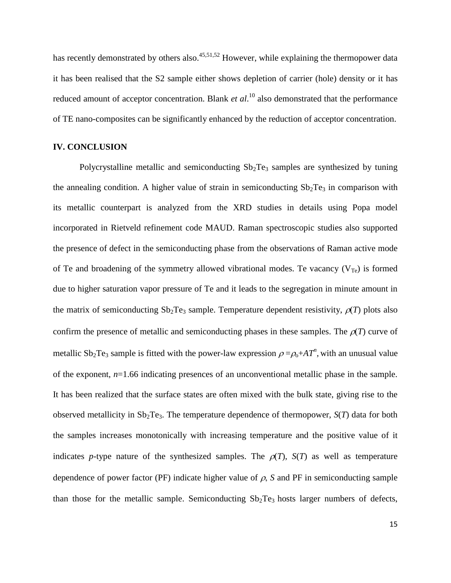has recently demonstrated by others also.<sup>45,51,52</sup> However, while explaining the thermopower data it has been realised that the S2 sample either shows depletion of carrier (hole) density or it has reduced amount of acceptor concentration. Blank *et al*. <sup>10</sup> also demonstrated that the performance of TE nano-composites can be significantly enhanced by the reduction of acceptor concentration.

### **IV. CONCLUSION**

Polycrystalline metallic and semiconducting  $Sb<sub>2</sub>Te<sub>3</sub>$  samples are synthesized by tuning the annealing condition. A higher value of strain in semiconducting  $Sb<sub>2</sub>Te<sub>3</sub>$  in comparison with its metallic counterpart is analyzed from the XRD studies in details using Popa model incorporated in Rietveld refinement code MAUD. Raman spectroscopic studies also supported the presence of defect in the semiconducting phase from the observations of Raman active mode of Te and broadening of the symmetry allowed vibrational modes. Te vacancy  $(V_{Te})$  is formed due to higher saturation vapor pressure of Te and it leads to the segregation in minute amount in the matrix of semiconducting  $Sb_2Te_3$  sample. Temperature dependent resistivity,  $\rho(T)$  plots also confirm the presence of metallic and semiconducting phases in these samples. The  $\rho(T)$  curve of metallic Sb<sub>2</sub>Te<sub>3</sub> sample is fitted with the power-law expression  $\rho = \rho_0 + AT^n$ , with an unusual value of the exponent, *n*=1.66 indicating presences of an unconventional metallic phase in the sample. It has been realized that the surface states are often mixed with the bulk state, giving rise to the observed metallicity in  $Sb_2Te_3$ . The temperature dependence of thermopower,  $S(T)$  data for both the samples increases monotonically with increasing temperature and the positive value of it indicates *p*-type nature of the synthesized samples. The  $\rho(T)$ ,  $S(T)$  as well as temperature dependence of power factor (PF) indicate higher value of  $\rho$ , *S* and PF in semiconducting sample than those for the metallic sample. Semiconducting  $Sb_2Te_3$  hosts larger numbers of defects,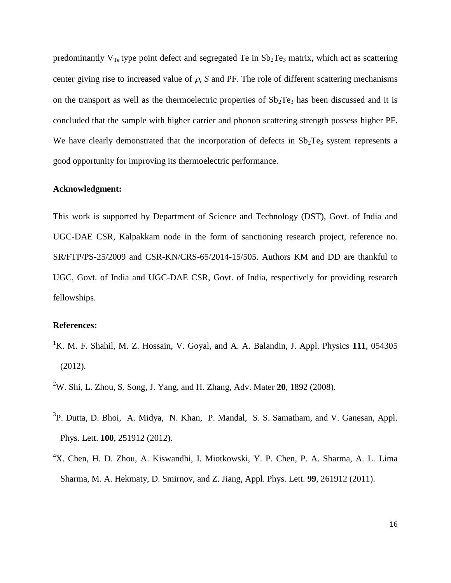predominantly  $V_{Te}$  type point defect and segregated Te in  $Sb<sub>2</sub>Te<sub>3</sub>$  matrix, which act as scattering center giving rise to increased value of  $\rho$ , *S* and PF. The role of different scattering mechanisms on the transport as well as the thermoelectric properties of  $Sb<sub>2</sub>Te<sub>3</sub>$  has been discussed and it is concluded that the sample with higher carrier and phonon scattering strength possess higher PF. We have clearly demonstrated that the incorporation of defects in  $Sb<sub>2</sub>Te<sub>3</sub>$  system represents a good opportunity for improving its thermoelectric performance.

### **Acknowledgment:**

This work is supported by Department of Science and Technology (DST), Govt. of India and UGC-DAE CSR, Kalpakkam node in the form of sanctioning research project, reference no. SR/FTP/PS-25/2009 and CSR-KN/CRS-65/2014-15/505. Authors KM and DD are thankful to UGC, Govt. of India and UGC-DAE CSR, Govt. of India, respectively for providing research fellowships.

### **References:**

<sup>1</sup>K. M. F. Shahil, M. Z. Hossain, V. Goyal, and A. A. Balandin, J. Appl. Physics 111, 054305 (2012).

<sup>2</sup>W. Shi, L. Zhou, S. Song, J. Yang, and H. Zhang, Adv. Mater **20**, 1892 (2008).

- <sup>3</sup>P. Dutta, D. Bhoi, A. Midya, N. Khan, P. Mandal, S. S. Samatham, and V. Ganesan, Appl. Phys. Lett. **100**, 251912 (2012).
- <sup>4</sup>X. Chen, H. D. Zhou, A. Kiswandhi, I. Miotkowski, Y. P. Chen, P. A. Sharma, A. L. Lima Sharma, M. A. Hekmaty, D. Smirnov, and Z. Jiang, Appl. Phys. Lett. **99**, 261912 (2011).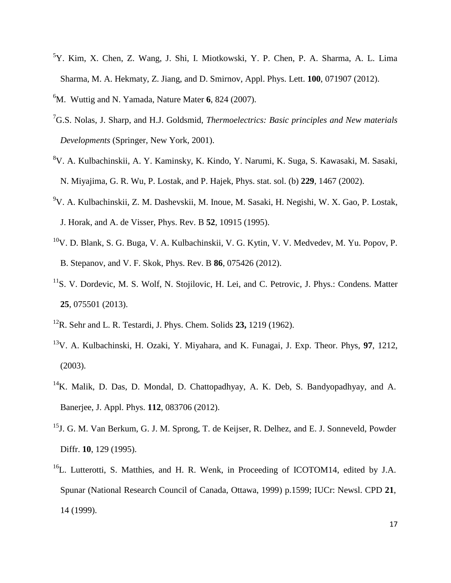- <sup>5</sup>Y. Kim, X. Chen, Z. Wang, J. Shi, I. Miotkowski, Y. P. Chen, P. A. Sharma, A. L. Lima Sharma, M. A. Hekmaty, Z. Jiang, and D. Smirnov, Appl. Phys. Lett. **100**, 071907 (2012).
- <sup>6</sup>M. Wuttig and N. Yamada, Nature Mater 6, 824 (2007).
- <sup>7</sup>G.S. Nolas, J. Sharp, and H.J. Goldsmid, *Thermoelectrics: Basic principles and New materials Developments* (Springer, New York, 2001).
- <sup>8</sup>V. A. Kulbachinskii, A. Y. Kaminsky, K. Kindo, Y. Narumi, K. Suga, S. Kawasaki, M. Sasaki, N. Miyajima, G. R. Wu, P. Lostak, and P. Hajek, Phys. stat. sol. (b) **229**, 1467 (2002).
- <sup>9</sup>V. A. Kulbachinskii, Z. M. Dashevskii, M. Inoue, M. Sasaki, H. Negishi, W. X. Gao, P. Lostak, J. Horak, and A. de Visser, Phys. Rev. B **52**, 10915 (1995).
- $10V$ . D. Blank, S. G. Buga, V. A. Kulbachinskii, V. G. Kytin, V. V. Medvedev, M. Yu. Popov, P. B. Stepanov, and V. F. Skok, Phys. Rev. B **86**, 075426 (2012).
- <sup>11</sup>S. V. Dordevic, M. S. Wolf, N. Stojilovic, H. Lei, and C. Petrovic, J. Phys.: Condens. Matter **25**, 075501 (2013).
- <sup>12</sup>R. Sehr and L. R. Testardi, J. Phys. Chem. Solids **23,** 1219 (1962).
- <sup>13</sup>V. A. Kulbachinski, H. Ozaki, Y. Miyahara, and K. Funagai, J. Exp. Theor. Phys, **97**, 1212, (2003).
- <sup>14</sup>K. Malik, D. Das, D. Mondal, D. Chattopadhyay, A. K. Deb, S. Bandyopadhyay, and A. Banerjee, J. Appl. Phys. **112**, 083706 (2012).
- <sup>15</sup>J. G. M. Van Berkum, G. J. M. Sprong, T. de Keijser, R. Delhez, and E. J. Sonneveld, Powder Diffr. **10**, 129 (1995).
- $16L$ . Lutterotti, S. Matthies, and H. R. Wenk, in Proceeding of ICOTOM14, edited by J.A. Spunar (National Research Council of Canada, Ottawa, 1999) p.1599; IUCr: Newsl. CPD **21**, 14 (1999).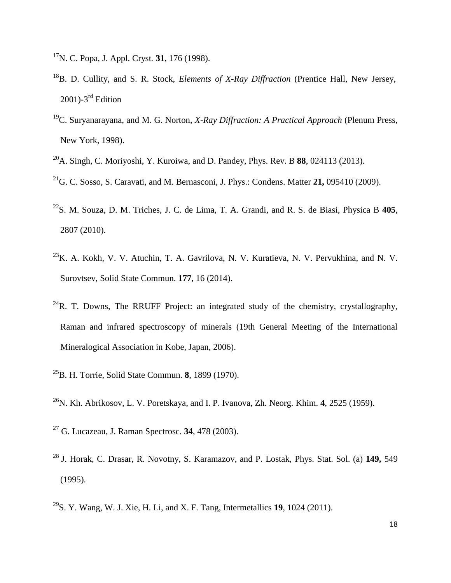- <sup>17</sup>N. C. Popa, J. Appl. Cryst*.* **31**, 176 (1998).
- <sup>18</sup>B. D. Cullity, and S. R. Stock, *Elements of X-Ray Diffraction* (Prentice Hall, New Jersey, 2001)-3<sup>rd</sup> Edition
- <sup>19</sup>C. Suryanarayana, and M. G. Norton, *X-Ray Diffraction: A Practical Approach* (Plenum Press, New York, 1998).
- <sup>20</sup>A. Singh, C. Moriyoshi, Y. Kuroiwa, and D. Pandey, Phys. Rev. B **88**, 024113 (2013).
- <sup>21</sup>G. C. Sosso, S. Caravati, and M. Bernasconi, J. Phys.: Condens. Matter **21,** 095410 (2009).
- <sup>22</sup>S. M. Souza, D. M. Triches, J. C. de Lima, T. A. Grandi, and R. S. de Biasi, Physica B **405**, 2807 (2010).
- $^{23}$ K. A. Kokh, V. V. Atuchin, T. A. Gavrilova, N. V. Kuratieva, N. V. Pervukhina, and N. V. Surovtsev, Solid State Commun. **177**, 16 (2014).
- $^{24}R$ . T. Downs, The RRUFF Project: an integrated study of the chemistry, crystallography, Raman and infrared spectroscopy of minerals (19th General Meeting of the International Mineralogical Association in Kobe, Japan, 2006).
- <sup>25</sup>B. H. Torrie, Solid State Commun. **8**, 1899 (1970).
- <sup>26</sup>N. Kh. Abrikosov, L. V. Poretskaya, and I. P. Ivanova, Zh. Neorg. Khim. **4**, 2525 (1959).
- <sup>27</sup> G. Lucazeau, J. Raman Spectrosc. **34**, 478 (2003).
- <sup>28</sup> J. Horak, C. Drasar, R. Novotny, S. Karamazov, and P. Lostak, Phys. Stat. Sol. (a) **149,** 549 (1995).
- <sup>29</sup>S. Y. Wang, W. J. Xie, H. Li, and X. F. Tang, Intermetallics **19**, 1024 (2011).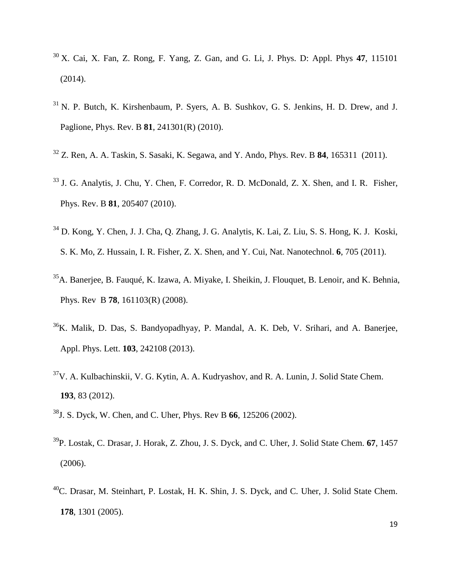- <sup>30</sup> X. Cai, X. Fan, Z. Rong, F. Yang, Z. Gan, and G. Li, J. Phys. D: Appl. Phys **47**, 115101 (2014).
- $31$  N. P. Butch, K. Kirshenbaum, P. Syers, A. B. Sushkov, G. S. Jenkins, H. D. Drew, and J. Paglione, Phys. Rev. B **81**, 241301(R) (2010).
- <sup>32</sup> Z. Ren, A. A. Taskin, S. Sasaki, K. Segawa, and Y. Ando, Phys. Rev. B **84**, 165311 (2011).
- <sup>33</sup> J. G. Analytis, J. Chu, Y. Chen, F. Corredor, R. D. McDonald, Z. X. Shen, and I. R. Fisher, Phys. Rev. B **81**, 205407 (2010).
- <sup>34</sup> D. Kong, Y. Chen, J. J. Cha, Q. Zhang, J. G. Analytis, K. Lai, Z. Liu, S. S. Hong, K. J. Koski, S. K. Mo, Z. Hussain, I. R. Fisher, Z. X. Shen, and Y. Cui, Nat. Nanotechnol. **6**, 705 (2011).
- <sup>35</sup>A. Banerjee, B. Fauqué, K. Izawa, A. Miyake, I. Sheikin, J. Flouquet, B. Lenoir, and K. Behnia, Phys. Rev B **78**, 161103(R) (2008).
- <sup>36</sup>K. Malik, D. Das, S. Bandyopadhyay, P. Mandal, A. K. Deb, V. Srihari, and A. Banerjee, Appl. Phys. Lett. **103**, 242108 (2013).
- $37V$ . A. Kulbachinskii, V. G. Kytin, A. A. Kudryashov, and R. A. Lunin, J. Solid State Chem. **193**, 83 (2012).
- <sup>38</sup>J. S. Dyck, W. Chen, and C. Uher, Phys. Rev B **66**, 125206 (2002).
- <sup>39</sup>P. Lostak, C. Drasar, J. Horak, Z. Zhou, J. S. Dyck, and C. Uher, J. Solid State Chem. **67**, 1457 (2006).
- <sup>40</sup>C. Drasar, M. Steinhart, P. Lostak, H. K. Shin, J. S. Dyck, and C. Uher, J. Solid State Chem. **178**, 1301 (2005).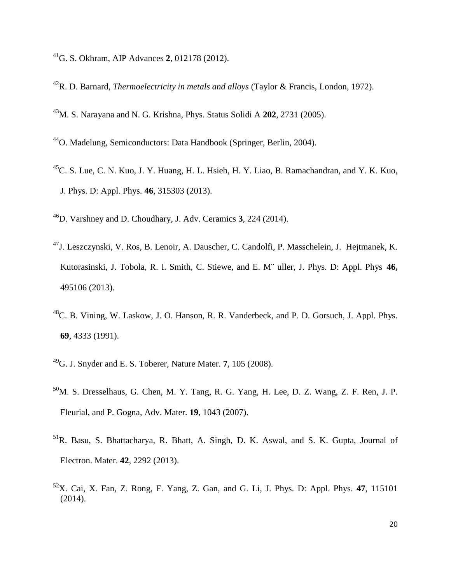- G. S. Okhram, AIP Advances **2**, 012178 (2012).
- R. D. Barnard, *Thermoelectricity in metals and alloys* (Taylor & Francis, London, 1972).
- M. S. Narayana and N. G. Krishna, Phys. Status Solidi A **202**, 2731 (2005).
- O. Madelung, Semiconductors: Data Handbook (Springer, Berlin, 2004).
- C. S. Lue, C. N. Kuo, J. Y. Huang, H. L. Hsieh, H. Y. Liao, B. Ramachandran, and Y. K. Kuo, J. Phys. D: Appl. Phys. **46**, 315303 (2013).
- D. Varshney and D. Choudhary, J. Adv. Ceramics **3**, 224 (2014).
- J. Leszczynski, V. Ros, B. Lenoir, A. Dauscher, C. Candolfi, P. Masschelein, J. Hejtmanek, K. Kutorasinski, J. Tobola, R. I. Smith, C. Stiewe, and E. M¨ uller, J. Phys. D: Appl. Phys **46,**  (2013).
- C. B. Vining, W. Laskow, J. O. Hanson, R. R. Vanderbeck, and P. D. Gorsuch, J. Appl. Phys. , 4333 (1991).
- G. J. Snyder and E. S. Toberer, Nature Mater. **7**, 105 (2008).
- M. S. Dresselhaus, G. Chen, M. Y. Tang, R. G. Yang, H. Lee, D. Z. Wang, Z. F. Ren, J. P. Fleurial, and P. Gogna, Adv. Mater. **19**, 1043 (2007).
- R. Basu, S. Bhattacharya, R. Bhatt, A. Singh, D. K. Aswal, and S. K. Gupta, Journal of Electron. Mater. **42**, 2292 (2013).
- X. Cai, X. Fan, Z. Rong, F. Yang, Z. Gan, and G. Li, J. Phys. D: Appl. Phys. **47**, 115101 (2014).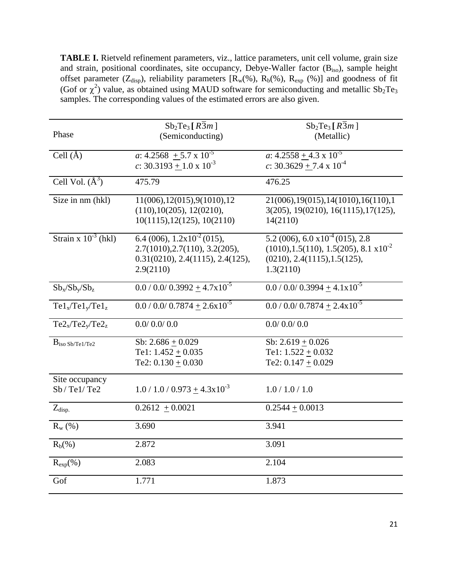**TABLE I.** Rietveld refinement parameters, viz., lattice parameters, unit cell volume, grain size and strain, positional coordinates, site occupancy, Debye-Waller factor (B<sub>iso</sub>), sample height offset parameter ( $Z_{disp}$ ), reliability parameters  $[R_w(\%), R_b(\%)$ ,  $R_{exp}(\%)$ ] and goodness of fit (Gof or  $\chi^2$ ) value, as obtained using MAUD software for semiconducting and metallic Sb<sub>2</sub>Te<sub>3</sub> samples. The corresponding values of the estimated errors are also given.

| Phase                        | $Sb_2Te_3[R\overline{3}m]$<br>(Semiconducting)                                                                            | $Sb_2Te_3[R\overline{3}m]$<br>(Metallic)                                                                                                    |
|------------------------------|---------------------------------------------------------------------------------------------------------------------------|---------------------------------------------------------------------------------------------------------------------------------------------|
| Cell $(\AA)$                 | a: $4.2568 + 5.7 \times 10^{-5}$<br>c: $30.3193 + 1.0 \times 10^{-3}$                                                     | a: $4.2558 + 4.3 \times 10^{-5}$<br>c: $30.3629 + 7.4 \times 10^{-4}$                                                                       |
| Cell Vol. $(\AA^3)$          | 475.79                                                                                                                    | 476.25                                                                                                                                      |
| Size in nm (hkl)             | 11(006), 12(015), 9(1010), 12<br>(110), 10(205), 12(0210),<br>10(1115), 12(125), 10(2110)                                 | 21(006), 19(015), 14(1010), 16(110), 1<br>3(205), 19(0210), 16(1115), 17(125),<br>14(2110)                                                  |
| Strain x $10^{-3}$ (hkl)     | 6.4 (006), $1.2 \times 10^{-2}$ (015),<br>2.7(1010), 2.7(110), 3.2(205),<br>0.31(0210), 2.4(1115), 2.4(125),<br>2.9(2110) | 5.2 (006), 6.0 $\times 10^{-4}$ (015), 2.8<br>$(1010), 1.5(110), 1.5(205), 8.1 \times 10^{-2}$<br>(0210), 2.4(1115), 1.5(125),<br>1.3(2110) |
| $Sb_x/Sb_y/Sb_z$             | $0.0 / 0.0 / 0.3992 + 4.7 \times 10^{-5}$                                                                                 | $0.0 / 0.0 / 0.3994 + 4.1 \times 10^{-5}$                                                                                                   |
| $Tel_x/Tel_v/Tel_z$          | $0.0 / 0.0 / 0.7874 + 2.6 \times 10^{-5}$                                                                                 | $0.0 / 0.0 / 0.7874 + 2.4 \times 10^{-5}$                                                                                                   |
| $Te2_x/Te2_y/Te2_z$          | 0.0/0.0/0.0                                                                                                               | 0.0/0.0/0.0                                                                                                                                 |
| $B_{iso Sb/Te1/Te2}$         | Sb: $2.686 \pm 0.029$<br>Te1: $1.452 \pm 0.035$<br>Te2: $0.130 \pm 0.030$                                                 | Sb: $2.619 \pm 0.026$<br>Te1: $1.522 \pm 0.032$<br>Te2: $0.147 \pm 0.029$                                                                   |
| Site occupancy<br>Sb/Tel/Te2 | $1.0 / 1.0 / 0.973 + 4.3 \times 10^{-3}$                                                                                  | 1.0 / 1.0 / 1.0                                                                                                                             |
| $Z_{disp.}$                  | $0.2612 + 0.0021$                                                                                                         | $0.2544 + 0.0013$                                                                                                                           |
| $R_{w}$ (%)                  | 3.690                                                                                                                     | 3.941                                                                                                                                       |
| $R_b(\%)$                    | 2.872                                                                                                                     | 3.091                                                                                                                                       |
| $R_{exp}(\% )$               | 2.083                                                                                                                     | 2.104                                                                                                                                       |
| Gof                          | 1.771                                                                                                                     | 1.873                                                                                                                                       |